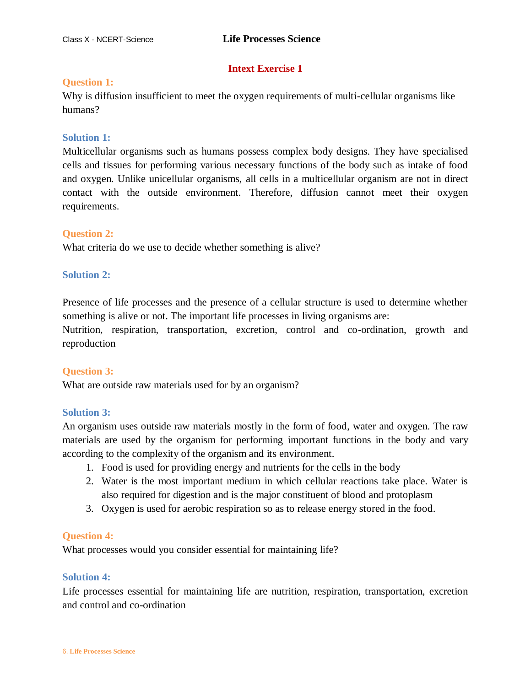## **Intext Exercise 1**

### **Question 1:**

Why is diffusion insufficient to meet the oxygen requirements of multi-cellular organisms like humans?

### **Solution 1:**

Multicellular organisms such as humans possess complex body designs. They have specialised cells and tissues for performing various necessary functions of the body such as intake of food and oxygen. Unlike unicellular organisms, all cells in a multicellular organism are not in direct contact with the outside environment. Therefore, diffusion cannot meet their oxygen requirements.

## **Question 2:**

What criteria do we use to decide whether something is alive?

### **Solution 2:**

Presence of life processes and the presence of a cellular structure is used to determine whether something is alive or not. The important life processes in living organisms are:

Nutrition, respiration, transportation, excretion, control and co-ordination, growth and reproduction

## **Question 3:**

What are outside raw materials used for by an organism?

## **Solution 3:**

An organism uses outside raw materials mostly in the form of food, water and oxygen. The raw materials are used by the organism for performing important functions in the body and vary according to the complexity of the organism and its environment.

- 1. Food is used for providing energy and nutrients for the cells in the body
- 2. Water is the most important medium in which cellular reactions take place. Water is also required for digestion and is the major constituent of blood and protoplasm
- 3. Oxygen is used for aerobic respiration so as to release energy stored in the food.

### **Question 4:**

What processes would you consider essential for maintaining life?

### **Solution 4:**

Life processes essential for maintaining life are nutrition, respiration, transportation, excretion and control and co-ordination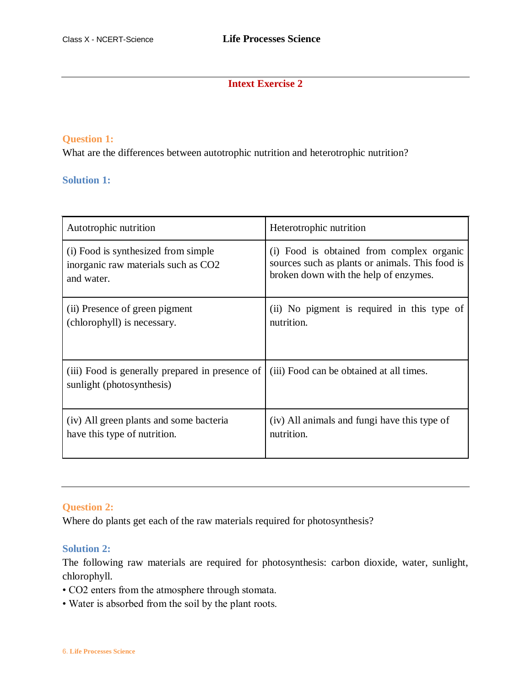## **Intext Exercise 2**

### **Question 1:**

What are the differences between autotrophic nutrition and heterotrophic nutrition?

## **Solution 1:**

| Autotrophic nutrition                                                        | Heterotrophic nutrition                         |
|------------------------------------------------------------------------------|-------------------------------------------------|
| (i) Food is synthesized from simple                                          | (i) Food is obtained from complex organic       |
| inorganic raw materials such as CO2                                          | sources such as plants or animals. This food is |
| and water.                                                                   | broken down with the help of enzymes.           |
| (ii) Presence of green pigment                                               | (ii) No pigment is required in this type of     |
| (chlorophyll) is necessary.                                                  | nutrition.                                      |
| (iii) Food is generally prepared in presence of<br>sunlight (photosynthesis) | (iii) Food can be obtained at all times.        |
| (iv) All green plants and some bacteria                                      | (iv) All animals and fungi have this type of    |
| have this type of nutrition.                                                 | nutrition.                                      |

### **Question 2:**

Where do plants get each of the raw materials required for photosynthesis?

### **Solution 2:**

The following raw materials are required for photosynthesis: carbon dioxide, water, sunlight, chlorophyll.

- CO2 enters from the atmosphere through stomata.
- Water is absorbed from the soil by the plant roots.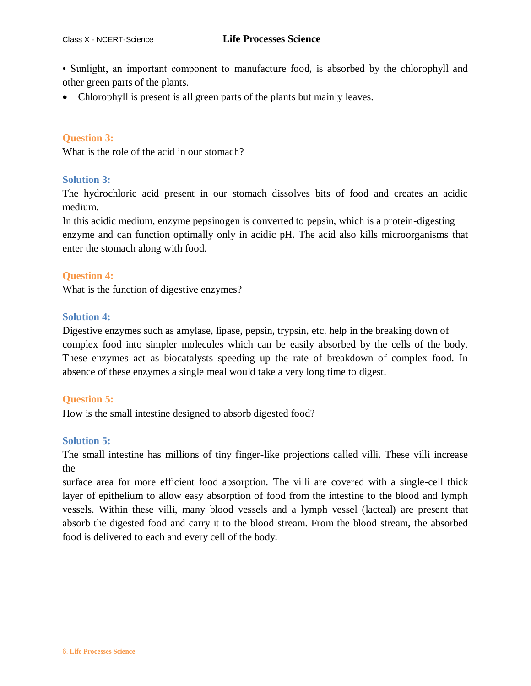• Sunlight, an important component to manufacture food, is absorbed by the chlorophyll and other green parts of the plants.

• Chlorophyll is present is all green parts of the plants but mainly leaves.

### **Question 3:**

What is the role of the acid in our stomach?

#### **Solution 3:**

The hydrochloric acid present in our stomach dissolves bits of food and creates an acidic medium.

In this acidic medium, enzyme pepsinogen is converted to pepsin, which is a protein-digesting enzyme and can function optimally only in acidic pH. The acid also kills microorganisms that enter the stomach along with food.

#### **Question 4:**

What is the function of digestive enzymes?

#### **Solution 4:**

Digestive enzymes such as amylase, lipase, pepsin, trypsin, etc. help in the breaking down of complex food into simpler molecules which can be easily absorbed by the cells of the body. These enzymes act as biocatalysts speeding up the rate of breakdown of complex food. In absence of these enzymes a single meal would take a very long time to digest.

### **Question 5:**

How is the small intestine designed to absorb digested food?

### **Solution 5:**

The small intestine has millions of tiny finger-like projections called villi. These villi increase the

surface area for more efficient food absorption. The villi are covered with a single-cell thick layer of epithelium to allow easy absorption of food from the intestine to the blood and lymph vessels. Within these villi, many blood vessels and a lymph vessel (lacteal) are present that absorb the digested food and carry it to the blood stream. From the blood stream, the absorbed food is delivered to each and every cell of the body.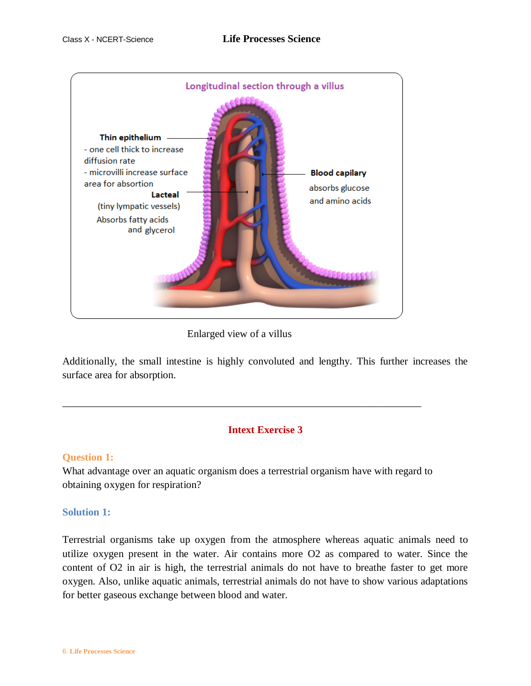

Enlarged view of a villus

\_\_\_\_\_\_\_\_\_\_\_\_\_\_\_\_\_\_\_\_\_\_\_\_\_\_\_\_\_\_\_\_\_\_\_\_\_\_\_\_\_\_\_\_\_\_\_\_\_\_\_\_\_\_\_\_\_\_\_\_\_\_\_\_\_\_\_\_\_

Additionally, the small intestine is highly convoluted and lengthy. This further increases the surface area for absorption.

## **Intext Exercise 3**

## **Question 1:**

What advantage over an aquatic organism does a terrestrial organism have with regard to obtaining oxygen for respiration?

### **Solution 1:**

Terrestrial organisms take up oxygen from the atmosphere whereas aquatic animals need to utilize oxygen present in the water. Air contains more O2 as compared to water. Since the content of O2 in air is high, the terrestrial animals do not have to breathe faster to get more oxygen. Also, unlike aquatic animals, terrestrial animals do not have to show various adaptations for better gaseous exchange between blood and water.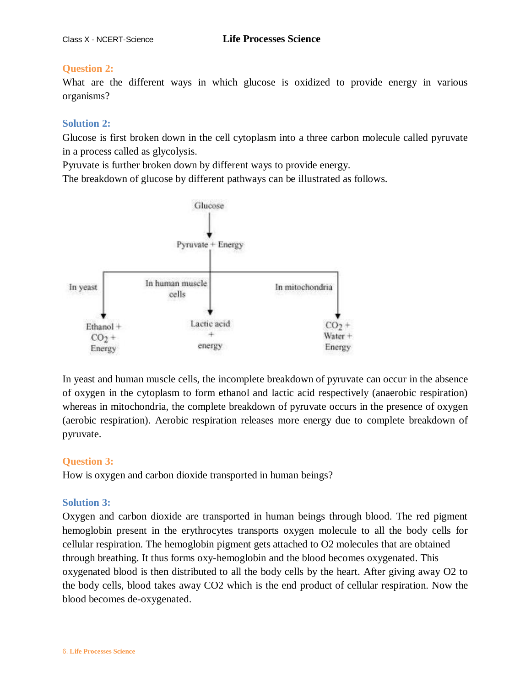## **Question 2:**

What are the different ways in which glucose is oxidized to provide energy in various organisms?

### **Solution 2:**

Glucose is first broken down in the cell cytoplasm into a three carbon molecule called pyruvate in a process called as glycolysis.

Pyruvate is further broken down by different ways to provide energy.

The breakdown of glucose by different pathways can be illustrated as follows.



In yeast and human muscle cells, the incomplete breakdown of pyruvate can occur in the absence of oxygen in the cytoplasm to form ethanol and lactic acid respectively (anaerobic respiration) whereas in mitochondria, the complete breakdown of pyruvate occurs in the presence of oxygen (aerobic respiration). Aerobic respiration releases more energy due to complete breakdown of pyruvate.

## **Question 3:**

How is oxygen and carbon dioxide transported in human beings?

## **Solution 3:**

Oxygen and carbon dioxide are transported in human beings through blood. The red pigment hemoglobin present in the erythrocytes transports oxygen molecule to all the body cells for cellular respiration. The hemoglobin pigment gets attached to O2 molecules that are obtained through breathing. It thus forms oxy-hemoglobin and the blood becomes oxygenated. This oxygenated blood is then distributed to all the body cells by the heart. After giving away O2 to the body cells, blood takes away CO2 which is the end product of cellular respiration. Now the blood becomes de-oxygenated.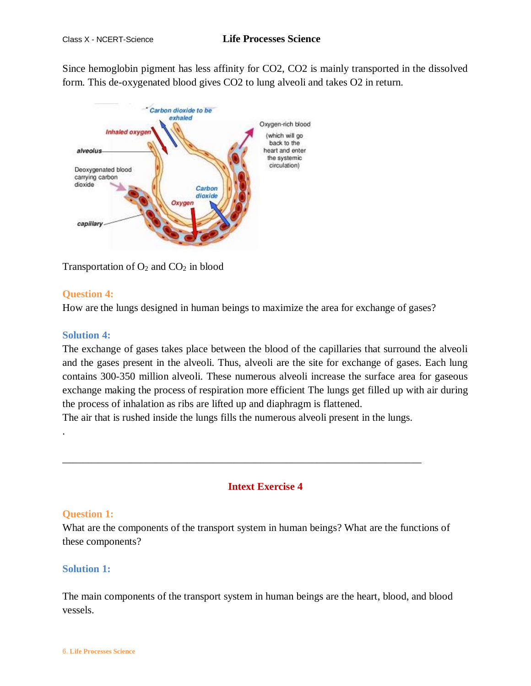Since hemoglobin pigment has less affinity for CO2, CO2 is mainly transported in the dissolved form. This de-oxygenated blood gives CO2 to lung alveoli and takes O2 in return.



Transportation of  $O_2$  and  $CO_2$  in blood

## **Question 4:**

How are the lungs designed in human beings to maximize the area for exchange of gases?

## **Solution 4:**

The exchange of gases takes place between the blood of the capillaries that surround the alveoli and the gases present in the alveoli. Thus, alveoli are the site for exchange of gases. Each lung contains 300-350 million alveoli. These numerous alveoli increase the surface area for gaseous exchange making the process of respiration more efficient The lungs get filled up with air during the process of inhalation as ribs are lifted up and diaphragm is flattened.

The air that is rushed inside the lungs fills the numerous alveoli present in the lungs.

\_\_\_\_\_\_\_\_\_\_\_\_\_\_\_\_\_\_\_\_\_\_\_\_\_\_\_\_\_\_\_\_\_\_\_\_\_\_\_\_\_\_\_\_\_\_\_\_\_\_\_\_\_\_\_\_\_\_\_\_\_\_\_\_\_\_\_\_\_

## **Intext Exercise 4**

## **Question 1:**

.

What are the components of the transport system in human beings? What are the functions of these components?

## **Solution 1:**

The main components of the transport system in human beings are the heart, blood, and blood vessels.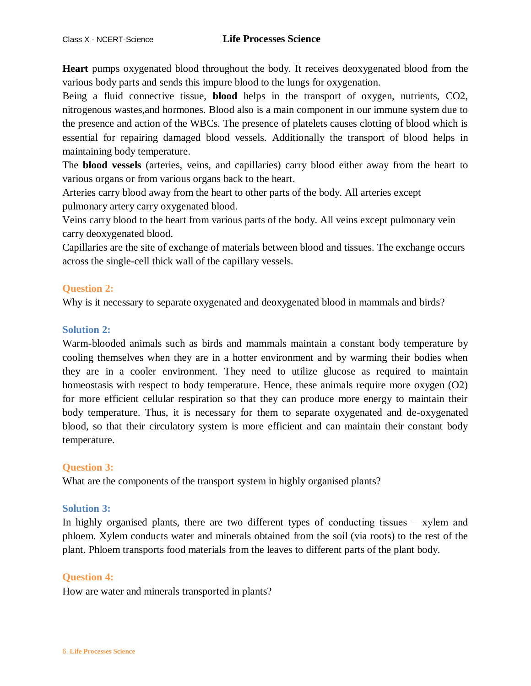**Heart** pumps oxygenated blood throughout the body. It receives deoxygenated blood from the various body parts and sends this impure blood to the lungs for oxygenation.

Being a fluid connective tissue, **blood** helps in the transport of oxygen, nutrients, CO2, nitrogenous wastes,and hormones. Blood also is a main component in our immune system due to the presence and action of the WBCs. The presence of platelets causes clotting of blood which is essential for repairing damaged blood vessels. Additionally the transport of blood helps in maintaining body temperature.

The **blood vessels** (arteries, veins, and capillaries) carry blood either away from the heart to various organs or from various organs back to the heart.

Arteries carry blood away from the heart to other parts of the body. All arteries except pulmonary artery carry oxygenated blood.

Veins carry blood to the heart from various parts of the body. All veins except pulmonary vein carry deoxygenated blood.

Capillaries are the site of exchange of materials between blood and tissues. The exchange occurs across the single-cell thick wall of the capillary vessels.

## **Question 2:**

Why is it necessary to separate oxygenated and deoxygenated blood in mammals and birds?

## **Solution 2:**

Warm-blooded animals such as birds and mammals maintain a constant body temperature by cooling themselves when they are in a hotter environment and by warming their bodies when they are in a cooler environment. They need to utilize glucose as required to maintain homeostasis with respect to body temperature. Hence, these animals require more oxygen (O2) for more efficient cellular respiration so that they can produce more energy to maintain their body temperature. Thus, it is necessary for them to separate oxygenated and de-oxygenated blood, so that their circulatory system is more efficient and can maintain their constant body temperature.

## **Question 3:**

What are the components of the transport system in highly organised plants?

## **Solution 3:**

In highly organised plants, there are two different types of conducting tissues − xylem and phloem. Xylem conducts water and minerals obtained from the soil (via roots) to the rest of the plant. Phloem transports food materials from the leaves to different parts of the plant body.

### **Question 4:**

How are water and minerals transported in plants?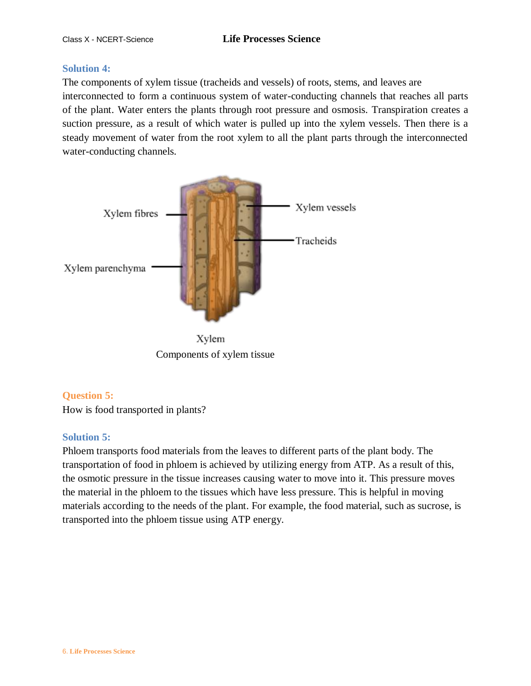### **Solution 4:**

The components of xylem tissue (tracheids and vessels) of roots, stems, and leaves are interconnected to form a continuous system of water-conducting channels that reaches all parts of the plant. Water enters the plants through root pressure and osmosis. Transpiration creates a suction pressure, as a result of which water is pulled up into the xylem vessels. Then there is a steady movement of water from the root xylem to all the plant parts through the interconnected water-conducting channels.



Xylem Components of xylem tissue

## **Question 5:**

How is food transported in plants?

## **Solution 5:**

Phloem transports food materials from the leaves to different parts of the plant body. The transportation of food in phloem is achieved by utilizing energy from ATP. As a result of this, the osmotic pressure in the tissue increases causing water to move into it. This pressure moves the material in the phloem to the tissues which have less pressure. This is helpful in moving materials according to the needs of the plant. For example, the food material, such as sucrose, is transported into the phloem tissue using ATP energy.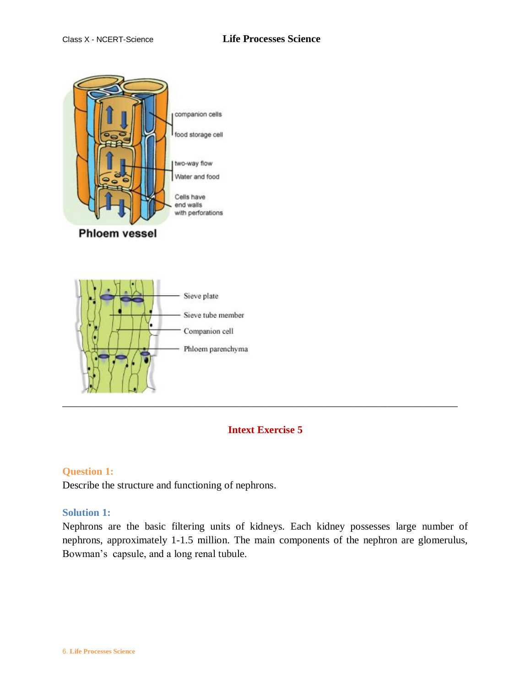

## **Intext Exercise 5**

\_\_\_\_\_\_\_\_\_\_\_\_\_\_\_\_\_\_\_\_\_\_\_\_\_\_\_\_\_\_\_\_\_\_\_\_\_\_\_\_\_\_\_\_\_\_\_\_\_\_\_\_\_\_\_\_\_\_\_\_\_\_\_\_\_\_\_\_\_\_\_\_\_\_\_\_

Phloem parenchyma

### **Question 1:**

Describe the structure and functioning of nephrons.

#### **Solution 1:**

Nephrons are the basic filtering units of kidneys. Each kidney possesses large number of nephrons, approximately 1-1.5 million. The main components of the nephron are glomerulus, Bowman's capsule, and a long renal tubule.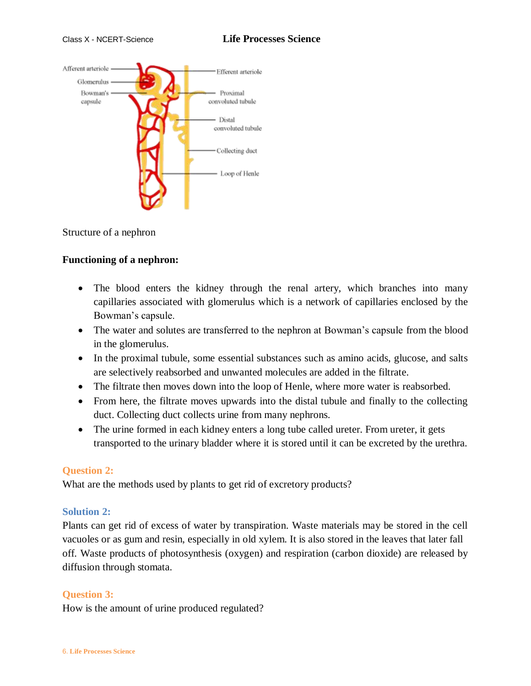

Structure of a nephron

## **Functioning of a nephron:**

- The blood enters the kidney through the renal artery, which branches into many capillaries associated with glomerulus which is a network of capillaries enclosed by the Bowman's capsule.
- The water and solutes are transferred to the nephron at Bowman's capsule from the blood in the glomerulus.
- In the proximal tubule, some essential substances such as amino acids, glucose, and salts are selectively reabsorbed and unwanted molecules are added in the filtrate.
- The filtrate then moves down into the loop of Henle, where more water is reabsorbed.
- From here, the filtrate moves upwards into the distal tubule and finally to the collecting duct. Collecting duct collects urine from many nephrons.
- The urine formed in each kidney enters a long tube called ureter. From ureter, it gets transported to the urinary bladder where it is stored until it can be excreted by the urethra.

### **Question 2:**

What are the methods used by plants to get rid of excretory products?

### **Solution 2:**

Plants can get rid of excess of water by transpiration. Waste materials may be stored in the cell vacuoles or as gum and resin, especially in old xylem. It is also stored in the leaves that later fall off. Waste products of photosynthesis (oxygen) and respiration (carbon dioxide) are released by diffusion through stomata.

### **Question 3:**

How is the amount of urine produced regulated?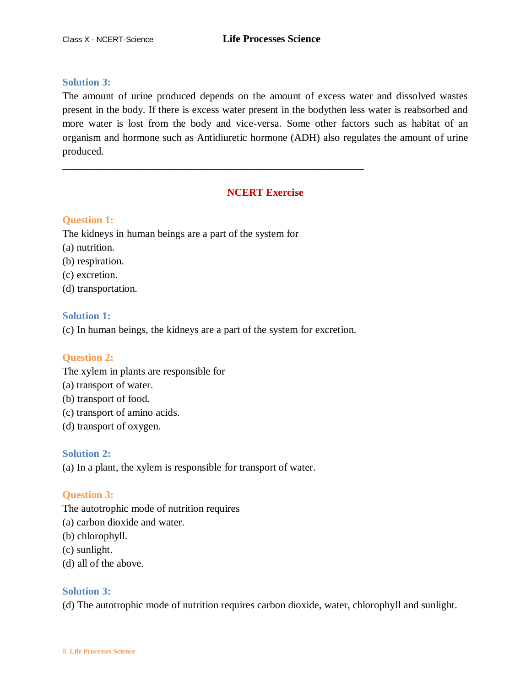### **Solution 3:**

The amount of urine produced depends on the amount of excess water and dissolved wastes present in the body. If there is excess water present in the bodythen less water is reabsorbed and more water is lost from the body and vice-versa. Some other factors such as habitat of an organism and hormone such as Antidiuretic hormone (ADH) also regulates the amount of urine produced.

## **NCERT Exercise**

### **Question 1:**

The kidneys in human beings are a part of the system for

- (a) nutrition.
- (b) respiration.
- (c) excretion.
- (d) transportation.

#### **Solution 1:**

(c) In human beings, the kidneys are a part of the system for excretion.

\_\_\_\_\_\_\_\_\_\_\_\_\_\_\_\_\_\_\_\_\_\_\_\_\_\_\_\_\_\_\_\_\_\_\_\_\_\_\_\_\_\_\_\_\_\_\_\_\_\_\_\_\_\_\_\_\_\_

### **Question 2:**

The xylem in plants are responsible for

- (a) transport of water.
- (b) transport of food.
- (c) transport of amino acids.
- (d) transport of oxygen.

### **Solution 2:**

(a) In a plant, the xylem is responsible for transport of water.

### **Question 3:**

The autotrophic mode of nutrition requires

- (a) carbon dioxide and water.
- (b) chlorophyll.
- (c) sunlight.
- (d) all of the above.

### **Solution 3:**

(d) The autotrophic mode of nutrition requires carbon dioxide, water, chlorophyll and sunlight.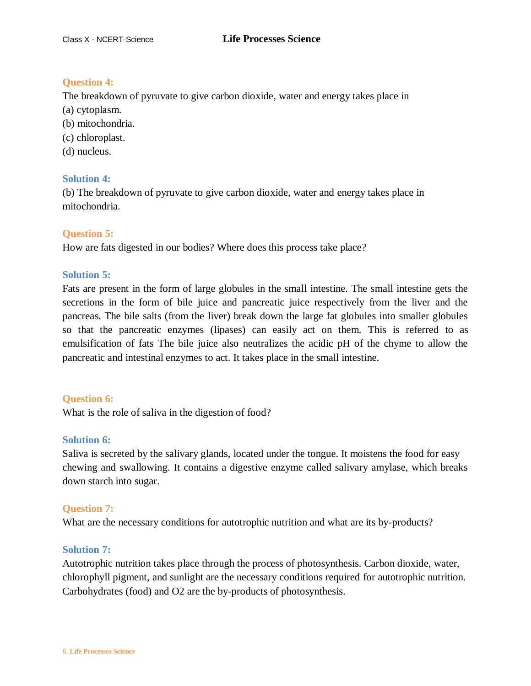### **Question 4:**

The breakdown of pyruvate to give carbon dioxide, water and energy takes place in (a) cytoplasm.

- (b) mitochondria.
- (c) chloroplast.
- (d) nucleus.

### **Solution 4:**

(b) The breakdown of pyruvate to give carbon dioxide, water and energy takes place in mitochondria.

### **Question 5:**

How are fats digested in our bodies? Where does this process take place?

### **Solution 5:**

Fats are present in the form of large globules in the small intestine. The small intestine gets the secretions in the form of bile juice and pancreatic juice respectively from the liver and the pancreas. The bile salts (from the liver) break down the large fat globules into smaller globules so that the pancreatic enzymes (lipases) can easily act on them. This is referred to as emulsification of fats The bile juice also neutralizes the acidic pH of the chyme to allow the pancreatic and intestinal enzymes to act. It takes place in the small intestine.

### **Question 6:**

What is the role of saliva in the digestion of food?

### **Solution 6:**

Saliva is secreted by the salivary glands, located under the tongue. It moistens the food for easy chewing and swallowing. It contains a digestive enzyme called salivary amylase, which breaks down starch into sugar.

### **Question 7:**

What are the necessary conditions for autotrophic nutrition and what are its by-products?

### **Solution 7:**

Autotrophic nutrition takes place through the process of photosynthesis. Carbon dioxide, water, chlorophyll pigment, and sunlight are the necessary conditions required for autotrophic nutrition. Carbohydrates (food) and O2 are the by-products of photosynthesis.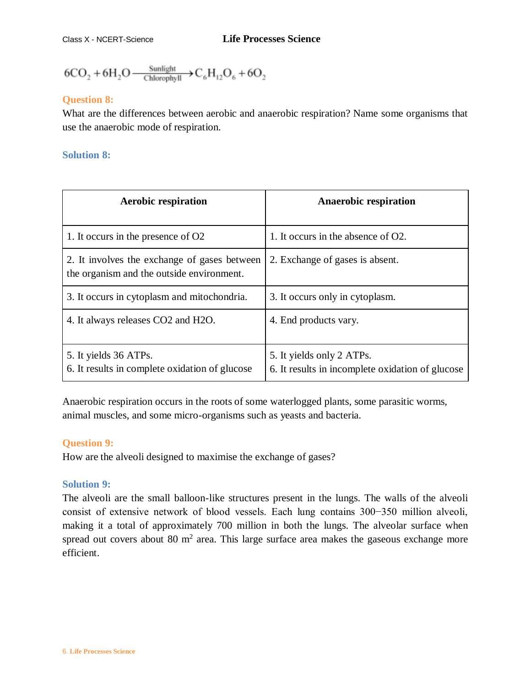$$
6CO_2 + 6H_2O \xrightarrow{\text{Sunlight}} C_6H_{12}O_6 + 6O_2
$$

## **Question 8:**

What are the differences between aerobic and anaerobic respiration? Name some organisms that use the anaerobic mode of respiration.

## **Solution 8:**

| <b>Aerobic respiration</b>                                                                | <b>Anaerobic respiration</b>                                                  |
|-------------------------------------------------------------------------------------------|-------------------------------------------------------------------------------|
| 1. It occurs in the presence of O2                                                        | 1. It occurs in the absence of O2.                                            |
| 2. It involves the exchange of gases between<br>the organism and the outside environment. | 2. Exchange of gases is absent.                                               |
| 3. It occurs in cytoplasm and mitochondria.                                               | 3. It occurs only in cytoplasm.                                               |
| 4. It always releases CO2 and H2O.                                                        | 4. End products vary.                                                         |
| 5. It yields 36 ATPs.<br>6. It results in complete oxidation of glucose                   | 5. It yields only 2 ATPs.<br>6. It results in incomplete oxidation of glucose |

Anaerobic respiration occurs in the roots of some waterlogged plants, some parasitic worms, animal muscles, and some micro-organisms such as yeasts and bacteria.

## **Question 9:**

How are the alveoli designed to maximise the exchange of gases?

## **Solution 9:**

The alveoli are the small balloon-like structures present in the lungs. The walls of the alveoli consist of extensive network of blood vessels. Each lung contains 300−350 million alveoli, making it a total of approximately 700 million in both the lungs. The alveolar surface when spread out covers about 80  $m<sup>2</sup>$  area. This large surface area makes the gaseous exchange more efficient.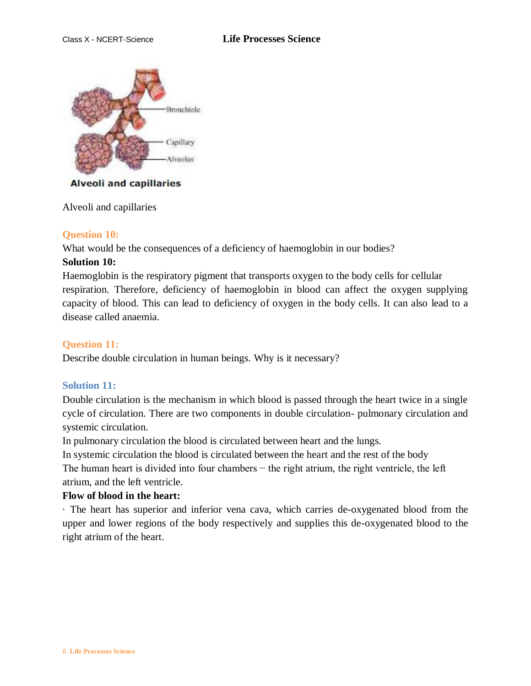

### **Alveoli and capillaries**

Alveoli and capillaries

#### **Question 10:**

What would be the consequences of a deficiency of haemoglobin in our bodies?

### **Solution 10:**

Haemoglobin is the respiratory pigment that transports oxygen to the body cells for cellular respiration. Therefore, deficiency of haemoglobin in blood can affect the oxygen supplying capacity of blood. This can lead to deficiency of oxygen in the body cells. It can also lead to a disease called anaemia.

### **Question 11:**

Describe double circulation in human beings. Why is it necessary?

### **Solution 11:**

Double circulation is the mechanism in which blood is passed through the heart twice in a single cycle of circulation. There are two components in double circulation- pulmonary circulation and systemic circulation.

In pulmonary circulation the blood is circulated between heart and the lungs.

In systemic circulation the blood is circulated between the heart and the rest of the body The human heart is divided into four chambers – the right atrium, the right ventricle, the left atrium, and the left ventricle.

### **Flow of blood in the heart:**

· The heart has superior and inferior vena cava, which carries de-oxygenated blood from the upper and lower regions of the body respectively and supplies this de-oxygenated blood to the right atrium of the heart.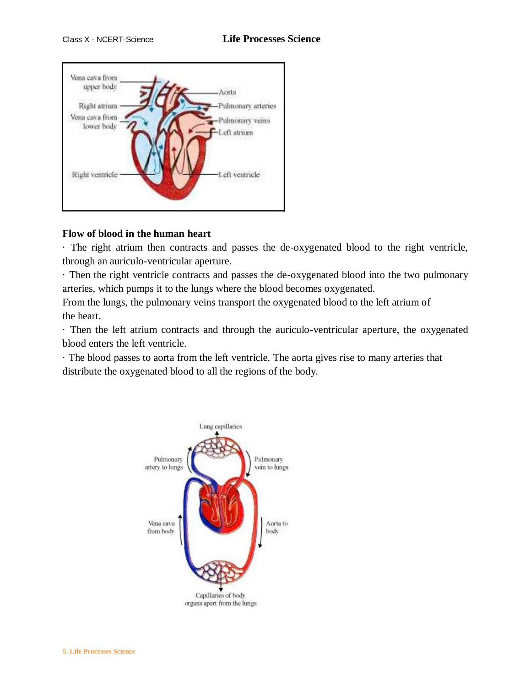

## **Flow of blood in the human heart**

· The right atrium then contracts and passes the de-oxygenated blood to the right ventricle, through an auriculo-ventricular aperture.

· Then the right ventricle contracts and passes the de-oxygenated blood into the two pulmonary arteries, which pumps it to the lungs where the blood becomes oxygenated.

From the lungs, the pulmonary veins transport the oxygenated blood to the left atrium of the heart.

· Then the left atrium contracts and through the auriculo-ventricular aperture, the oxygenated blood enters the left ventricle.

· The blood passes to aorta from the left ventricle. The aorta gives rise to many arteries that distribute the oxygenated blood to all the regions of the body.

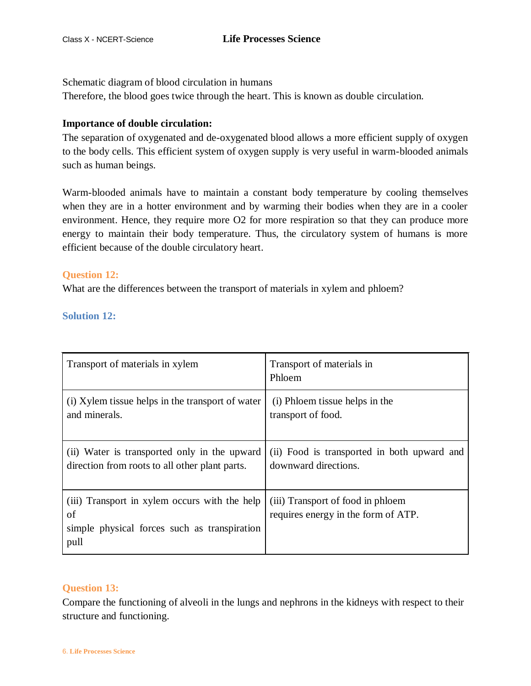Schematic diagram of blood circulation in humans

Therefore, the blood goes twice through the heart. This is known as double circulation.

### **Importance of double circulation:**

The separation of oxygenated and de-oxygenated blood allows a more efficient supply of oxygen to the body cells. This efficient system of oxygen supply is very useful in warm-blooded animals such as human beings.

Warm-blooded animals have to maintain a constant body temperature by cooling themselves when they are in a hotter environment and by warming their bodies when they are in a cooler environment. Hence, they require more O2 for more respiration so that they can produce more energy to maintain their body temperature. Thus, the circulatory system of humans is more efficient because of the double circulatory heart.

### **Question 12:**

What are the differences between the transport of materials in xylem and phloem?

**Solution 12:**

| Transport of materials in xylem                                                                             | Transport of materials in<br>Phloem                                      |
|-------------------------------------------------------------------------------------------------------------|--------------------------------------------------------------------------|
| (i) Xylem tissue helps in the transport of water                                                            | (i) Phloem tissue helps in the                                           |
| and minerals.                                                                                               | transport of food.                                                       |
| (ii) Water is transported only in the upward                                                                | (ii) Food is transported in both upward and                              |
| direction from roots to all other plant parts.                                                              | downward directions.                                                     |
| (iii) Transport in xylem occurs with the help<br>of<br>simple physical forces such as transpiration<br>pull | (iii) Transport of food in phloem<br>requires energy in the form of ATP. |

## **Question 13:**

Compare the functioning of alveoli in the lungs and nephrons in the kidneys with respect to their structure and functioning.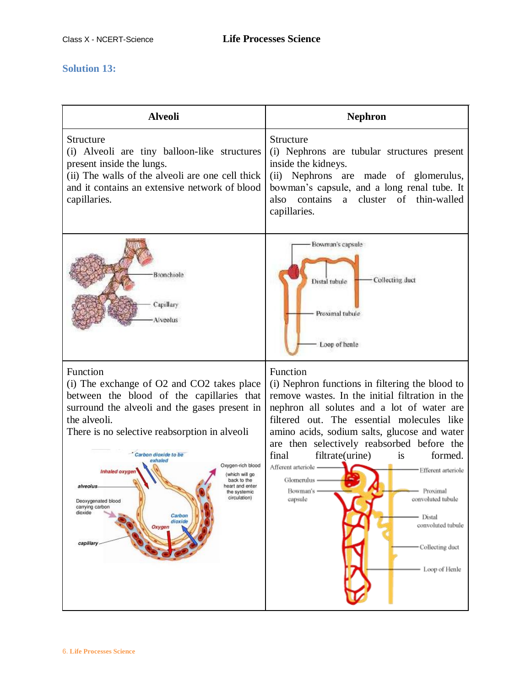# **Solution 13:**

| <b>Alveoli</b>                                                                                                                                                                                                                                                                                                                                                                                                                                                                                 | <b>Nephron</b>                                                                                                                                                                                                                                                                                                                                                                                                                                                                                                                                     |
|------------------------------------------------------------------------------------------------------------------------------------------------------------------------------------------------------------------------------------------------------------------------------------------------------------------------------------------------------------------------------------------------------------------------------------------------------------------------------------------------|----------------------------------------------------------------------------------------------------------------------------------------------------------------------------------------------------------------------------------------------------------------------------------------------------------------------------------------------------------------------------------------------------------------------------------------------------------------------------------------------------------------------------------------------------|
| Structure<br>(i) Alveoli are tiny balloon-like structures<br>present inside the lungs.<br>(ii) The walls of the alveoli are one cell thick<br>and it contains an extensive network of blood<br>capillaries.                                                                                                                                                                                                                                                                                    | Structure<br>(i) Nephrons are tubular structures present<br>inside the kidneys.<br>(ii) Nephrons are made of glomerulus,<br>bowman's capsule, and a long renal tube. It<br>a cluster of thin-walled<br>contains<br>also<br>capillaries.                                                                                                                                                                                                                                                                                                            |
| Bronchrole<br>Capillary<br>Alveolus                                                                                                                                                                                                                                                                                                                                                                                                                                                            | Bowman's capsule:<br>Collecting duct<br>Distal tubule<br>Proximal tubule<br>Loop of heale                                                                                                                                                                                                                                                                                                                                                                                                                                                          |
| Function<br>(i) The exchange of O2 and CO2 takes place<br>between the blood of the capillaries that<br>surround the alveoli and the gases present in<br>the alveoli.<br>There is no selective reabsorption in alveoli<br>Carbon dioxide to be<br>exhaled<br>Oxygen-rich blood<br>Inhaled oxygen<br>which will go<br>back to the<br>heart and enter<br>alveolus<br>the systemic<br>circulation)<br>Deoxygenated blood<br>carrying carbon<br>dioxide<br>Carbon<br>dioxide<br>Oxygen<br>capillary | Function<br>(i) Nephron functions in filtering the blood to<br>remove wastes. In the initial filtration in the<br>nephron all solutes and a lot of water are<br>filtered out. The essential molecules like<br>amino acids, sodium salts, glucose and water<br>are then selectively reabsorbed before the<br>filtrate(urine)<br>final<br>is<br>formed.<br>Afferent arteriole -<br>- Efferent arteriole<br>Glomerulus –<br>Bowman's -<br>Proximal<br>convoluted tubule<br>capsule<br>Distal<br>convoluted tubule<br>Collecting duct<br>Loop of Henle |